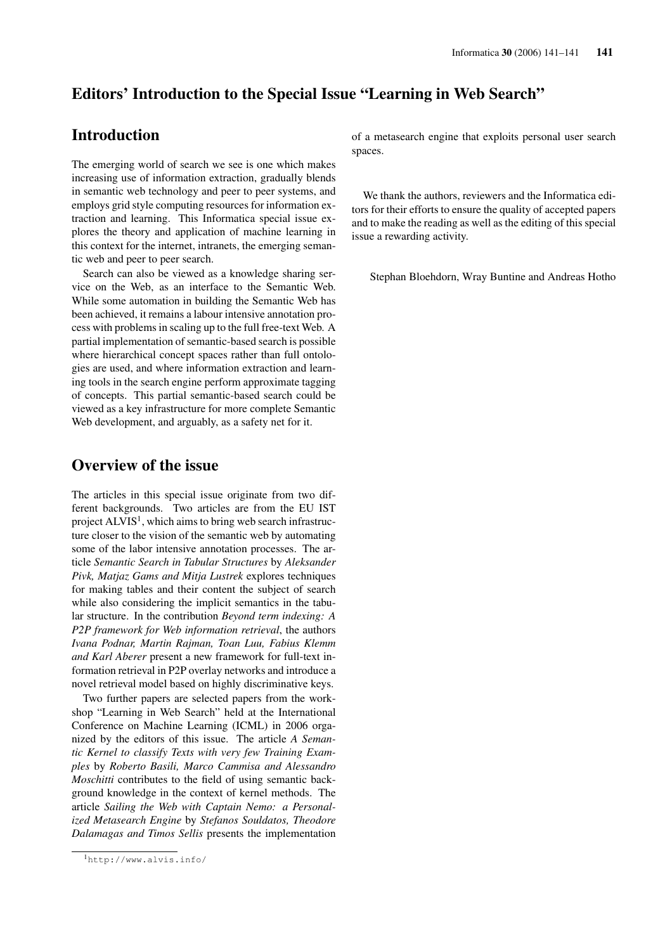## Editors' Introduction to the Special Issue "Learning in Web Search"

## Introduction

The emerging world of search we see is one which makes increasing use of information extraction, gradually blends in semantic web technology and peer to peer systems, and employs grid style computing resources for information extraction and learning. This Informatica special issue explores the theory and application of machine learning in this context for the internet, intranets, the emerging semantic web and peer to peer search.

Search can also be viewed as a knowledge sharing service on the Web, as an interface to the Semantic Web. While some automation in building the Semantic Web has been achieved, it remains a labour intensive annotation process with problems in scaling up to the full free-text Web. A partial implementation of semantic-based search is possible where hierarchical concept spaces rather than full ontologies are used, and where information extraction and learning tools in the search engine perform approximate tagging of concepts. This partial semantic-based search could be viewed as a key infrastructure for more complete Semantic Web development, and arguably, as a safety net for it.

## Overview of the issue

The articles in this special issue originate from two different backgrounds. Two articles are from the EU IST project  $ALVIS<sup>1</sup>$ , which aims to bring web search infrastructure closer to the vision of the semantic web by automating some of the labor intensive annotation processes. The article *Semantic Search in Tabular Structures* by *Aleksander Pivk, Matjaz Gams and Mitja Lustrek* explores techniques for making tables and their content the subject of search while also considering the implicit semantics in the tabular structure. In the contribution *Beyond term indexing: A P2P framework for Web information retrieval*, the authors *Ivana Podnar, Martin Rajman, Toan Luu, Fabius Klemm and Karl Aberer* present a new framework for full-text information retrieval in P2P overlay networks and introduce a novel retrieval model based on highly discriminative keys.

Two further papers are selected papers from the workshop "Learning in Web Search" held at the International Conference on Machine Learning (ICML) in 2006 organized by the editors of this issue. The article *A Semantic Kernel to classify Texts with very few Training Examples* by *Roberto Basili, Marco Cammisa and Alessandro Moschitti* contributes to the field of using semantic background knowledge in the context of kernel methods. The article *Sailing the Web with Captain Nemo: a Personalized Metasearch Engine* by *Stefanos Souldatos, Theodore Dalamagas and Timos Sellis* presents the implementation of a metasearch engine that exploits personal user search spaces.

We thank the authors, reviewers and the Informatica editors for their efforts to ensure the quality of accepted papers and to make the reading as well as the editing of this special issue a rewarding activity.

Stephan Bloehdorn, Wray Buntine and Andreas Hotho

<sup>1</sup>http://www.alvis.info/